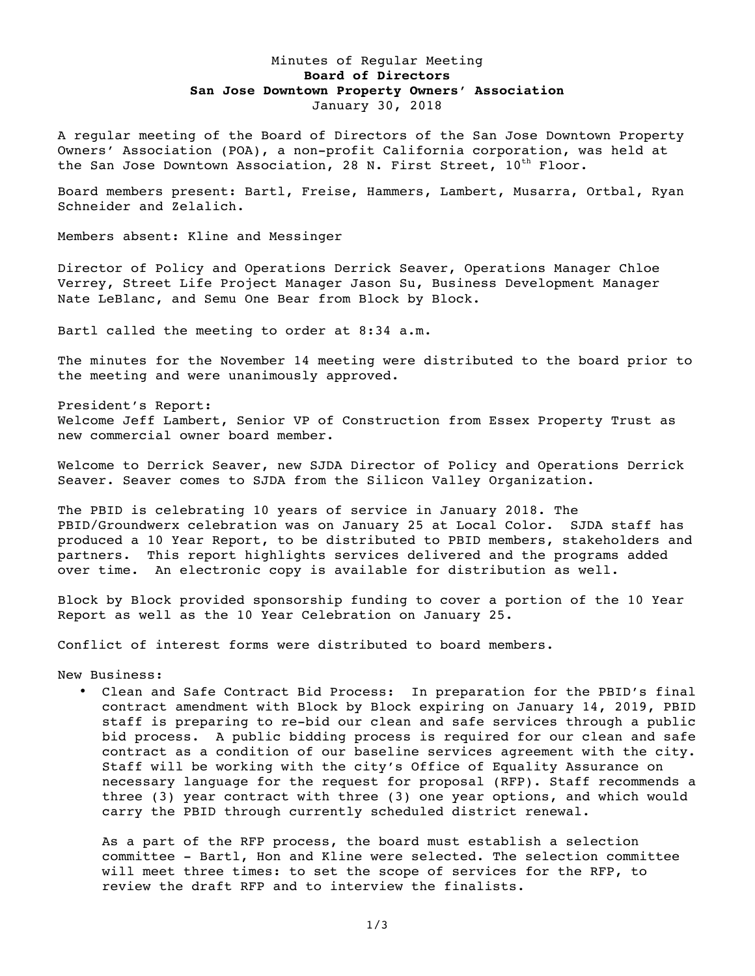## Minutes of Regular Meeting **Board of Directors San Jose Downtown Property Owners' Association** January 30, 2018

A regular meeting of the Board of Directors of the San Jose Downtown Property Owners' Association (POA), a non-profit California corporation, was held at the San Jose Downtown Association, 28 N. First Street,  $10^{th}$  Floor.

Board members present: Bartl, Freise, Hammers, Lambert, Musarra, Ortbal, Ryan Schneider and Zelalich.

Members absent: Kline and Messinger

Director of Policy and Operations Derrick Seaver, Operations Manager Chloe Verrey, Street Life Project Manager Jason Su, Business Development Manager Nate LeBlanc, and Semu One Bear from Block by Block.

Bartl called the meeting to order at 8:34 a.m.

The minutes for the November 14 meeting were distributed to the board prior to the meeting and were unanimously approved.

President's Report: Welcome Jeff Lambert, Senior VP of Construction from Essex Property Trust as new commercial owner board member.

Welcome to Derrick Seaver, new SJDA Director of Policy and Operations Derrick Seaver. Seaver comes to SJDA from the Silicon Valley Organization.

The PBID is celebrating 10 years of service in January 2018. The PBID/Groundwerx celebration was on January 25 at Local Color. SJDA staff has produced a 10 Year Report, to be distributed to PBID members, stakeholders and partners. This report highlights services delivered and the programs added over time. An electronic copy is available for distribution as well.

Block by Block provided sponsorship funding to cover a portion of the 10 Year Report as well as the 10 Year Celebration on January 25.

Conflict of interest forms were distributed to board members.

New Business:

• Clean and Safe Contract Bid Process: In preparation for the PBID's final contract amendment with Block by Block expiring on January 14, 2019, PBID staff is preparing to re-bid our clean and safe services through a public bid process. A public bidding process is required for our clean and safe contract as a condition of our baseline services agreement with the city. Staff will be working with the city's Office of Equality Assurance on necessary language for the request for proposal (RFP). Staff recommends a three (3) year contract with three (3) one year options, and which would carry the PBID through currently scheduled district renewal.

As a part of the RFP process, the board must establish a selection committee - Bartl, Hon and Kline were selected. The selection committee will meet three times: to set the scope of services for the RFP, to review the draft RFP and to interview the finalists.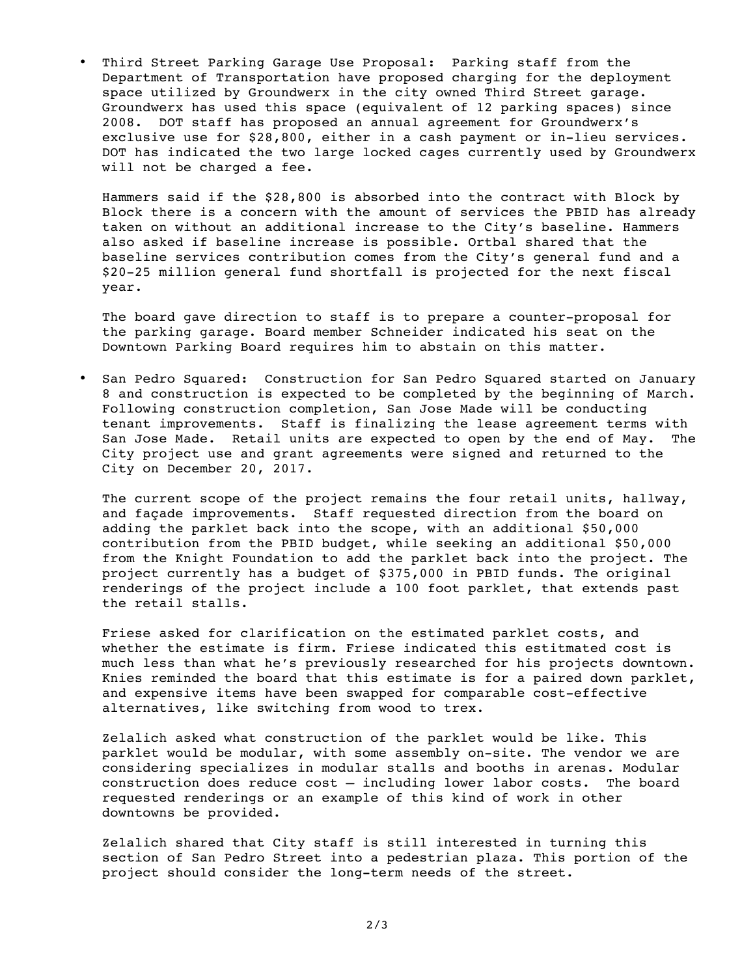• Third Street Parking Garage Use Proposal: Parking staff from the Department of Transportation have proposed charging for the deployment space utilized by Groundwerx in the city owned Third Street garage. Groundwerx has used this space (equivalent of 12 parking spaces) since 2008. DOT staff has proposed an annual agreement for Groundwerx's exclusive use for \$28,800, either in a cash payment or in-lieu services. DOT has indicated the two large locked cages currently used by Groundwerx will not be charged a fee.

Hammers said if the \$28,800 is absorbed into the contract with Block by Block there is a concern with the amount of services the PBID has already taken on without an additional increase to the City's baseline. Hammers also asked if baseline increase is possible. Ortbal shared that the baseline services contribution comes from the City's general fund and a \$20-25 million general fund shortfall is projected for the next fiscal year.

The board gave direction to staff is to prepare a counter-proposal for the parking garage. Board member Schneider indicated his seat on the Downtown Parking Board requires him to abstain on this matter.

• San Pedro Squared: Construction for San Pedro Squared started on January 8 and construction is expected to be completed by the beginning of March. Following construction completion, San Jose Made will be conducting tenant improvements. Staff is finalizing the lease agreement terms with San Jose Made. Retail units are expected to open by the end of May. The City project use and grant agreements were signed and returned to the City on December 20, 2017.

The current scope of the project remains the four retail units, hallway, and façade improvements. Staff requested direction from the board on adding the parklet back into the scope, with an additional \$50,000 contribution from the PBID budget, while seeking an additional \$50,000 from the Knight Foundation to add the parklet back into the project. The project currently has a budget of \$375,000 in PBID funds. The original renderings of the project include a 100 foot parklet, that extends past the retail stalls.

Friese asked for clarification on the estimated parklet costs, and whether the estimate is firm. Friese indicated this estitmated cost is much less than what he's previously researched for his projects downtown. Knies reminded the board that this estimate is for a paired down parklet, and expensive items have been swapped for comparable cost-effective alternatives, like switching from wood to trex.

Zelalich asked what construction of the parklet would be like. This parklet would be modular, with some assembly on-site. The vendor we are considering specializes in modular stalls and booths in arenas. Modular construction does reduce cost – including lower labor costs. The board requested renderings or an example of this kind of work in other downtowns be provided.

Zelalich shared that City staff is still interested in turning this section of San Pedro Street into a pedestrian plaza. This portion of the project should consider the long-term needs of the street.